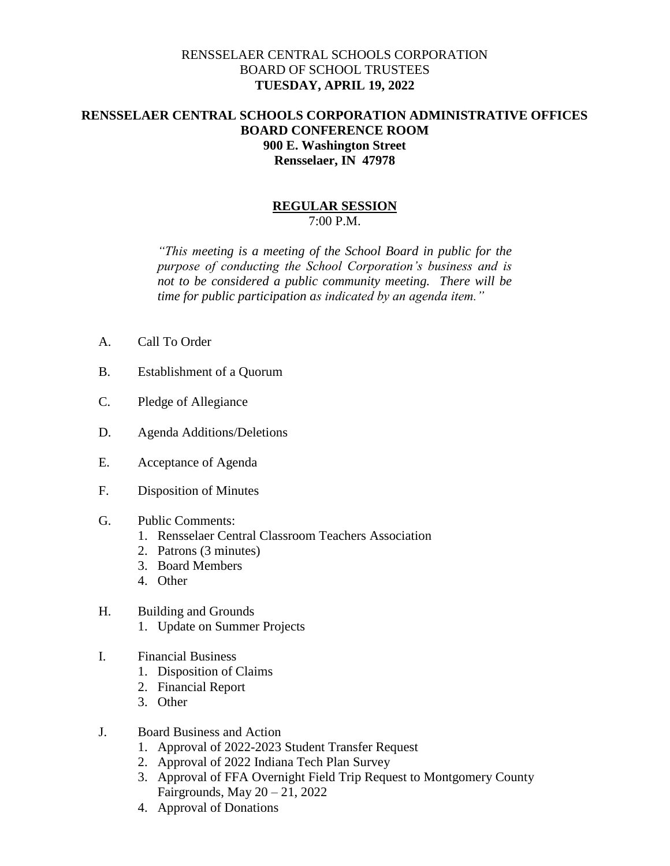## RENSSELAER CENTRAL SCHOOLS CORPORATION BOARD OF SCHOOL TRUSTEES **TUESDAY, APRIL 19, 2022**

## **RENSSELAER CENTRAL SCHOOLS CORPORATION ADMINISTRATIVE OFFICES BOARD CONFERENCE ROOM 900 E. Washington Street Rensselaer, IN 47978**

## **REGULAR SESSION** 7:00 P.M.

*"This meeting is a meeting of the School Board in public for the purpose of conducting the School Corporation's business and is not to be considered a public community meeting. There will be time for public participation as indicated by an agenda item."*

- A. Call To Order
- B. Establishment of a Quorum
- C. Pledge of Allegiance
- D. Agenda Additions/Deletions
- E. Acceptance of Agenda
- F. Disposition of Minutes
- G. Public Comments:
	- 1. Rensselaer Central Classroom Teachers Association
	- 2. Patrons (3 minutes)
	- 3. Board Members
	- 4. Other
- H. Building and Grounds
	- 1. Update on Summer Projects
- I. Financial Business
	- 1. Disposition of Claims
	- 2. Financial Report
	- 3. Other
- J. Board Business and Action
	- 1. Approval of 2022-2023 Student Transfer Request
	- 2. Approval of 2022 Indiana Tech Plan Survey
	- 3. Approval of FFA Overnight Field Trip Request to Montgomery County Fairgrounds, May  $20 - 21$ , 2022
	- 4. Approval of Donations